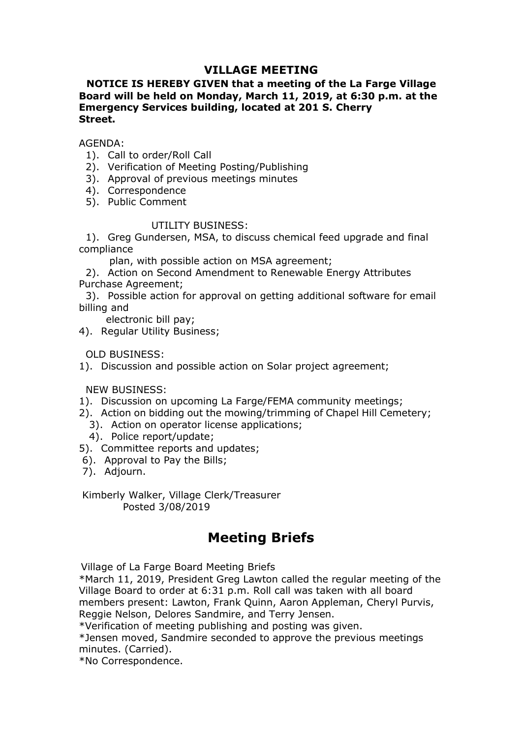# VILLAGE MEETING<br>IVEN that a meeting of the La Farge Village<br>londay, March 11, 2019, at 6:30 p.m. at the<br>ilding, located at 201 S. Cherry VILLAGE MEETING<br>NOTICE IS HEREBY GIVEN that a meeting of the La Farge Village<br>oard will be held on Monday, March 11, 2019, at 6:30 p.m. at the<br>mergency Services building, located at 201 S. Cherry<br>treet. VILLAGE MEETING<br>Board will be held on Monday, March 11, 2019, at 6:30 p.m. at the<br>Emergency Services building, located at 201 S. Cherry<br>Street.<br>AGENDA: **VILLAGE MEETING<br>
WILLAGE MEETING**<br> **Emergency Services building, located at 201 S. Cherry**<br> **Emergency Services building, located at 201 S. Cherry<br>
Street.<br>
AGENDA:<br>
1). Call to order/Roll Call** Street. **VILLAGE MEETING<br>
VILLAGE MEETING**<br> **NOTICE IS HEREBY GIVEN that a meeting of the La Farge Village**<br>
oard will be held on Monday, March 11, 2019, at 6:30 p.m. at the<br>
mergency Services building, located at 201 S. Cherry<br>
t **VILLAGE MEETING**<br> **NOTICE IS HEREBY GIVEN that a meeting of the La Farge Village**<br>
oard will be held on Monday, March 11, 2019, at 6:30 p.m. at the<br>
mergency Services building, located at 201 S. Cherry<br>
treet.<br>
GENDA:<br>
1) **VILLAGE MEETING**<br> **NOTICE IS HEREBY GIVEN that a meeting of the La Farge Village**<br>
oard will be held on Monday, March 11, 2019, at 6:30 p.m. at the<br>
mergency Services building, located at 201 S. Cherry<br>
treet.<br>
GENDA:<br>
1) **VILLAGE MEETING**<br> **NOTICE IS HEREBY GIVEN that a meeting of the La Farge**<br> **oard will be held on Monday, March 11, 2019, at 6:30 p.m**<br> **emergency Services building, located at 201 S. Cherry**<br> **treet.**<br>
GENDA:<br>
1). Call to **VILLAGE MEETING<br>
NOTICE IS HEREBY GIVEN that a meeting of the La Farge Villag<br>
oard will be held on Monday, March 11, 2019, at 6:30 p.m. at tl<br>
mergency Services building, located at 201 S. Cherry<br>
treet.<br>
GENDA:<br>
1). Cal VILLAGE MEETING**<br> **HEREBY GIVEN that a meeting of the La Farge Village**<br> **held on Monday, March 11, 2019, at 6:30 p.m. at the**<br> **prices building, located at 201 S. Cherry**<br>  $\frac{1}{2}$ <br>  $\frac{1}{2}$ <br>  $\frac{1}{2}$ <br>  $\frac{1}{2}$  and **NOTICE IS HEREBY GIVEN that a meeting of the La Farge Village<br>
oard will be held on Monday, March 11, 2019, at 6:30 p.m. at the<br>
mergency Services building, located at 201 S. Cherry<br>
treet.<br>
GENDA:<br>
2). Ole to order/Roll VILLAGE MEETING**<br> **ICE IS HEREBY GIVEN that a meeting of the La Farge Village**<br> **I will be held on Monday, March 11, 2019, at 6:30 p.m. at the<br>
gency Services building, located at 201 S. Cherry<br>
1.<br>
2.<br>
DA:<br>
Correspondenc VILLAGE MEETING**<br> **NOTICE IS HEREBY GIVEN that a meeting of the La Farge Village<br>
oard will be held on Monday, March 11, 2019, at 6:30 p.m. at the<br>
mergency Services building, located at 201 S. Cherry<br>
treet.<br>
GENDA:<br>
2). VILLAGE MEETING**<br> **NOTICE IS HEREBY GIVEN that a meeting of the La Farge Vil<br>
Board will be held on Monday, March 11, 2019, at 6:30 p.m. a<br>
Emergency Services building, located at 201 S. Cherry<br>
Street.<br>
AGENDA:<br>
1). Call NOTICE IS HEREBY GYLELAGE MEETING**<br> **Solution Frame and Amore and Amore and Amore and Amore and Amore and Amore and Amore and Amore and Amore and Amore and Amore and Amore and Amore and Amore S). Approval of previous meet NOTICE IS HEREBY GIVEN that a meeting of the La Farge<br>
Board will be held on Monday, March 11, 2019, at 6:30 p.m<br>
Emergency Services building, located at 201 S. Cherry<br>
Street.<br>
AGENDA:<br>
1). Call to order/Roll Call<br>
2). V** Free Formulation Monday, March 11, 2019, at 6:30 p.m. at the divill be held on Monday, March 11, 2019, at 6:30 p.m. at the genery Services building, located at 201 S. Cherry<br>DA:<br>DA:<br>Call to order/Roll Call<br>Use order/Roll C Burgency Services building, located at 201 S. cherry<br>
Emergency Services building, located at 201 S. cherry<br>
Street.<br>
AGENDA:<br>
1). Call to order/Roll Call<br>
1). Call to order/Roll Call<br>
3). Approval of previous meetings min

# AGENDA:

- 
- 
- 
- 
- 

compliance

GENDA:<br>
Call 1). Call to order/Roll Call<br>
1). Call to order/Roll Call<br>
2). Verification of Meeting Posting/Publishing<br>
3). Approval of previous meetings minutes<br>
4). Correspondence<br>
5). Public Comment<br>
UTILITY BUSINESS:<br>
1 1). Can to order Noteing Posting/Publishing<br>2). Verification of Meeting Posting/Publishing<br>3). Approval of previous meetings minutes<br>5). Public Comment<br>5). Public Comment<br>1). Greg Gundersen, MSA, to discuss chemical feed u 1, are guineers and most alternative to the Bills;<br>compliance<br>plan, with possible action on MSA agreement;<br>2). Action on Second Amendment to Renewable Energy Attrib<br>urchase Agreement;<br>3). Possible action for approval on ge

AGENDA:<br>
1). Call to order/Roll Call<br>
2). Verification of Meeting Posting/Publishing<br>
3). Approval of previous meetings minutes<br>
5). Public Comment<br>
UTILITY BUSINESS:<br>
1). Greg Gundersen, MSA, to discuss chemical feed upgr 2). Venimation in the<br>emisphemic meetings minites<br>3). Approval of previous meetings minites<br>5). Public Comment<br>5). Public Comment<br>1). Greg Gundersen, MSA, to discuss chemical feed upgrade and final<br>compliance<br>plan, with po 2). Approvan or previous inteatings inniutes<br>
4). Correspondence<br>
5). Public Comment<br>
UTILITY BUSINESS:<br>
1). Greg Gundersen, MSA, to discuss chemical feed upgrade and final<br>
compliance<br>
2). Action on scored Amendment to Re r).<br>
S). Public Comment<br>
UTILITY BUSINESS:<br>
1). Greg Gundersen, MSA, to discuss chemical feed upgrade and final<br>
mplinance<br>
plan, with possible action on MSA agreement;<br>
2). Action on Second Amendment to Renewable Energy A by. Police Comment UTILITY BUSINESS:<br>
1). Greg Gundersen, MSA, to discuss chemical feed upgrade and final<br>
impliance<br>
plan, with possible action on MSA agreement;<br>
richas Agreement;<br>
richase Agreement;<br>
richase Agreement;<br> UTILITY BUSINESS:<br>
UTILITY BUSINESS:<br>
compliance<br>
plan, with possible action on MSA agreement;<br>
2). Action on Second Amendment to Renewable Energy Attributes<br>
Purchase Agreement;<br>
3). Possible action for approval on gettin 1). Greg Gundersen, MSA, to discuss chemical feed upgrade and final<br>
1). Greg Gundersen, MSA, to discuss chemical feed upgrade and final<br>
2). Action on Second Amendment to Renewable Energy Attributes<br>
2). Possible action f part, with possible action of risk ayelerine,<br>
2). Action on Second Amendment to Renewable Energy Attributes<br>
Purchase Agreement;<br>
2). Possible action for approval on getting additional software for email<br>
illing and<br>
dele For Algorithm and Superiority of Merculan Afferement;<br>Agreement;<br>Sible action for approval on getting additional software for email<br>d<br>d<br>tronic bill pay;<br>Jar Utility Business;<br>SINESS:<br>SINESS:<br>SINESS:<br>SINESS:<br>SINESS:<br>Sision

- 
- 
- 
- 
- 
- 
- 

ss;<br>le action on Solar project agreement;<br>ng La Farge/FEMA community meetings;<br>the mowing/trimming of Chapel Hill Cemetery;<br>icense applications;<br>ills;<br>diudates;<br>Clerk/Treasurer<br>**Meeting Briefs**<br>Meeting Briefs<br>Meeting Brief 97. Exgual, Joney Boarness,<br>
1). Discussion and possible action on Solar project agreement;<br>
1). Discussion and possible action on Solar project agreement;<br>
NEW BUSINESS:<br>
1). Action on idding out the moving/trimming of Ch OLD BUSINESS:<br>
1). Discussion and possible action on Solar project agreement;<br>
1). Discussion on upcoming La Farge/FEMA community meetings;<br>
2). Action on bidding out the mowing/trimming of Chapel Hill Cemetery;<br>
2). Actio Village of La Farge Board Meeting Briefs<br>
Yillage Board to order at 6:31 p.<br>
1). Discussion on upcoming La Farge/FEMA community meetings;<br>
1). Discussion on bidding out the moving/trimming of Chapel Hill Cemetery;<br>
2). Act members present and propertion of project agreement,<br>
1). Discussion on upcoming La Farge/FEMA community meetings;<br>
2). Action on bidding out the mowing/trimming of Chapel Hill Cemetery;<br>
3). Action on operator liense appl NEW BUSINESS:<br>
2). Discussion on upcoming La Farge/FEMA community meetings;<br>
2). Action on bidding out the mowing/trimming of Chapel Hill Cemetery;<br>
3). Action on operator license applications;<br>
4). Dolice report-typdate;<br> The Controllong out the mowing fundation of Chapel Hill Cemetery;<br>
2). Action on bidding out the mowing/rimming of Chapel Hill Cemetery;<br>
3). Action on operator license applications;<br>
5). Committee reports and updates;<br>
5) \*). Action on bidding out the moving/trimming of Chapel Hill Cemetery;<br>
3). Action on bidding out the moving/trimming of Chapel Hill Cemetery;<br>
4). Dolice report/update;<br>
5). Committee reports and updates;<br>
6). Approved to 2). Action on operator license applications;<br>
3). Action on operator license applications;<br>
4). Police report/update;<br>
5). Committee reports and updates;<br>
6). Approval Pay the Bills;<br>
7). Adjourn.<br>
Kimberly Walker, Village 9). Netcor or epert/update;<br>4). Police report/update;<br>5). Committee reports and updates;<br>5). Adjourn.<br>7). Adjourn.<br>Kimberly Walker, Village Clerk/Treasurer<br>Posted 3/08/2019<br>**Meeting Briefs**<br>Village of La Farge Board Meetin